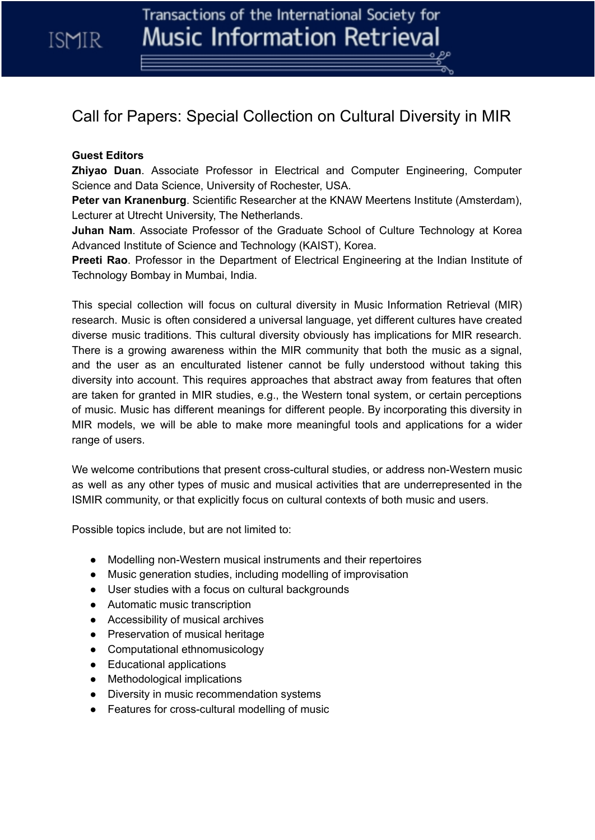ISMIR

## Call for Papers: Special Collection on Cultural Diversity in MIR

## **Guest Editors**

**Zhiyao Duan**. Associate Professor in Electrical and Computer Engineering, Computer Science and Data Science, University of Rochester, USA.

**Peter van Kranenburg**. Scientific Researcher at the KNAW Meertens Institute (Amsterdam), Lecturer at Utrecht University, The Netherlands.

**Juhan Nam**. Associate Professor of the Graduate School of Culture Technology at Korea Advanced Institute of Science and Technology (KAIST), Korea.

**Preeti Rao**. Professor in the Department of Electrical Engineering at the Indian Institute of Technology Bombay in Mumbai, India.

This special collection will focus on cultural diversity in Music Information Retrieval (MIR) research. Music is often considered a universal language, yet different cultures have created diverse music traditions. This cultural diversity obviously has implications for MIR research. There is a growing awareness within the MIR community that both the music as a signal, and the user as an enculturated listener cannot be fully understood without taking this diversity into account. This requires approaches that abstract away from features that often are taken for granted in MIR studies, e.g., the Western tonal system, or certain perceptions of music. Music has different meanings for different people. By incorporating this diversity in MIR models, we will be able to make more meaningful tools and applications for a wider range of users.

We welcome contributions that present cross-cultural studies, or address non-Western music as well as any other types of music and musical activities that are underrepresented in the ISMIR community, or that explicitly focus on cultural contexts of both music and users.

Possible topics include, but are not limited to:

- Modelling non-Western musical instruments and their repertoires
- Music generation studies, including modelling of improvisation
- User studies with a focus on cultural backgrounds
- Automatic music transcription
- Accessibility of musical archives
- Preservation of musical heritage
- Computational ethnomusicology
- Educational applications
- Methodological implications
- Diversity in music recommendation systems
- Features for cross-cultural modelling of music